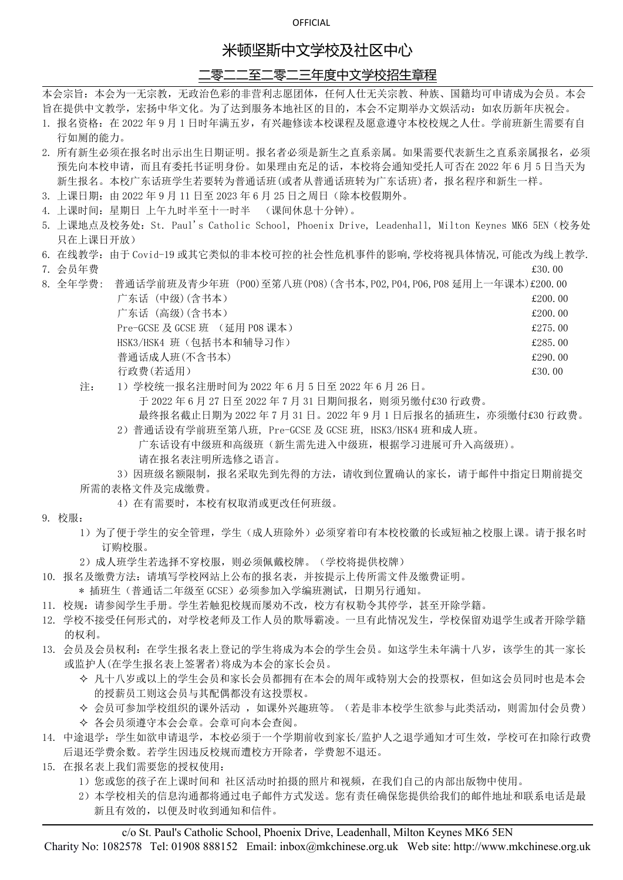# 米顿坚斯中文学校及社区中心

### 二零二二至二零二三年度中文学校招生章程

本会宗旨:本会为一无宗教,无政治色彩的非营利志愿团体,任何人仕无关宗教、种族、国籍均可申请成为会员。本会 旨在提供中文教学,宏扬中华文化。为了达到服务本地社区的目的,本会不定期举办文娱活动:如农历新年庆祝会。

- 1. 报名资格:在 2022 年 9 月 1 日时年满五岁,有兴趣修读本校课程及愿意遵守本校校规之人仕。学前班新生需要有自 行如厕的能力。
- 2. 所有新生必须在报名时出示出生日期证明。报名者必须是新生之直系亲属。如果需要代表新生之直系亲属报名,必须 预先向本校申请,而且有委托书证明身份。如果理由充足的话,本校将会通知受托人可否在 2022 年 6 月 5 日当天为 新生报名。本校广东话班学生若要转为普通话班(或者从普通话班转为广东话班)者,报名程序和新生一样。
- 3. 上课日期:由 2022 年 9 月 11 日至 2023 年 6 月 25 日之周日(除本校假期外。
- 4. 上课时间:星期日 上午九时半至十一时半 (课间休息十分钟)。
- 5. 上课地点及校务处:St. Paul's Catholic School, Phoenix Drive, Leadenhall, Milton Keynes MK6 5EN(校务处 只在上课日开放)
- 6. 在线教学:由于 Covid-19 或其它类似的非本校可控的社会性危机事件的影响,学校将视具体情况,可能改为线上教学. 7. 会员年费 £30.00
- 
- 8. 全年学费: 普通话学前班及青少年班 (P00)至笫八班(P08)(含书本,P02,P04,P06,P08 延用上一年课本)£200.00 广东话 (中级) (含书本)  $\qquad 200.00$

广东话 (高级) (含书本)  $\qquad 200.00$ Pre-GCSE 及 GCSE 班 (延用 P08 课本) <br>
and the contract of the contract of the contract of the contract of the contract of the contract of the contract of the contract of the contract of the contract of the contract of the contr HSK3/HSK4 班(包括书本和辅导习作) £285.00 普通话成人班(不含书本) £290.00 行政费(若适用) **2000** 

注: 1)学校统一报名注册时间为 2022 年 6 月 5 日至 2022 年 6 月 26 日。

于 2022 年 6 月 27 日至 2022 年 7 月 31 日期间报名,则须另缴付£30 行政费。

最终报名截止日期为 2022 年 7 月 31 日。2022 年 9 月 1 日后报名的插班生,亦须缴付£30 行政费。

2)普通话设有学前班至第八班, Pre-GCSE 及 GCSE 班, HSK3/HSK4 班和成人班。 广东话设有中级班和高级班(新生需先进入中级班,根据学习进展可升入高级班)。 请在报名表注明所选修之语言。

3)因班级名额限制,报名采取先到先得的方法,请收到位置确认的家长,请于邮件中指定日期前提交 所需的表格文件及完成缴费。

- 4)在有需要时,本校有权取消或更改任何班级。
- 9. 校服:
	- 1)为了便于学生的安全管理,学生(成人班除外)必须穿着印有本校校徽的长或短袖之校服上课。请于报名时 订购校服。
	- 2)成人班学生若选择不穿校服,则必须佩戴校牌。(学校将提供校牌)
- 10. 报名及缴费方法:请填写学校网站上公布的报名表,并按提示上传所需文件及缴费证明。
	- \* 插班生(普通话二年级至 GCSE)必须参加入学编班测试,日期另行通知。
- 11. 校规:请参阅学生手册。学生若触犯校规而屡劝不改,校方有权勒令其停学,甚至开除学籍。
- 12. 学校不接受任何形式的,对学校老师及工作人员的欺辱霸凌。一旦有此情况发生,学校保留劝退学生或者开除学籍 的权利。
- 13. 会员及会员权利:在学生报名表上登记的学生将成为本会的学生会员。如这学生未年满十八岁,该学生的其一家长 或监护人(在学生报名表上签署者)将成为本会的家长会员。
	- 凡十八岁或以上的学生会员和家长会员都拥有在本会的周年或特别大会的投票权,但如这会员同时也是本会 的授薪员工则这会员与其配偶都没有这投票权。
	- ◆ 会员可参加学校组织的课外活动, 如课外兴趣班等。(若是非本校学生欲参与此类活动, 则需加付会员费)
	- 各会员须遵守本会会章。会章可向本会查阅。
- 14. 中途退学:学生如欲申请退学,本校必须于一个学期前收到家长/监护人之退学通知才可生效,学校可在扣除行政费 后退还学费余数。若学生因违反校规而遭校方开除者,学费恕不退还。
- 15. 在报名表上我们需要您的授权使用:
	- 1)您或您的孩子在上课时间和 社区活动时拍摄的照片和视频,在我们自己的内部出版物中使用。
	- 2)本学校相关的信息沟通都将通过电子邮件方式发送。您有责任确保您提供给我们的邮件地址和联系电话是最 新且有效的,以便及时收到通知和信件。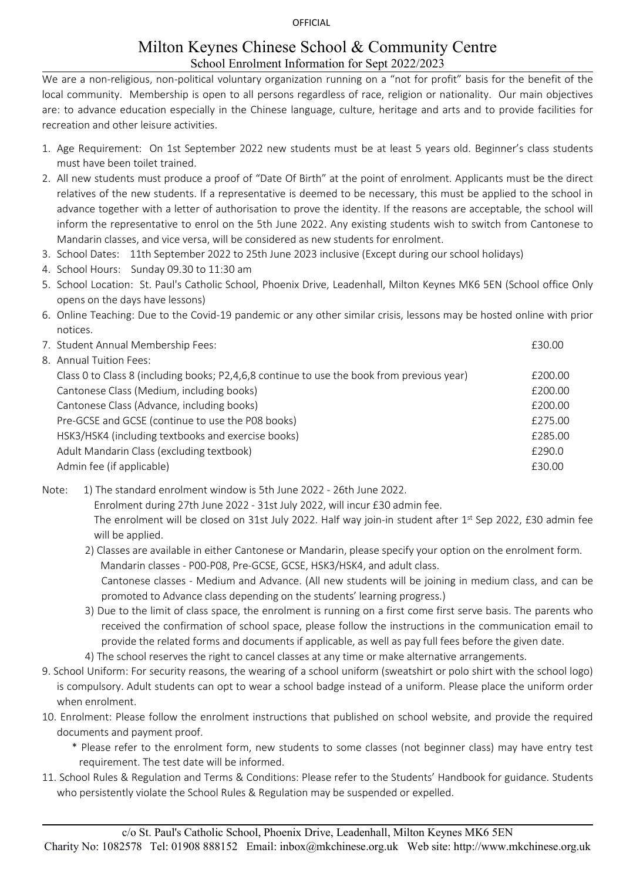## Milton Keynes Chinese School & Community Centre School Enrolment Information for Sept 2022/2023

We are a non-religious, non-political voluntary organization running on a "not for profit" basis for the benefit of the local community. Membership is open to all persons regardless of race, religion or nationality. Our main objectives are: to advance education especially in the Chinese language, culture, heritage and arts and to provide facilities for recreation and other leisure activities.

- 1. Age Requirement: On 1st September 2022 new students must be at least 5 years old. Beginner's class students must have been toilet trained.
- 2. All new students must produce a proof of "Date Of Birth" at the point of enrolment. Applicants must be the direct relatives of the new students. If a representative is deemed to be necessary, this must be applied to the schoolin advance together with a letter of authorisation to prove the identity. If the reasons are acceptable, the school will inform the representative to enrol on the 5th June 2022. Any existing students wish to switch from Cantonese to Mandarin classes, and vice versa, will be considered as new students for enrolment.
- 3. School Dates: 11th September 2022 to 25th June 2023 inclusive (Except during our school holidays)
- 4. School Hours: Sunday 09.30 to 11:30 am
- 5. School Location: St. Paul's Catholic School, Phoenix Drive, Leadenhall, Milton Keynes MK6 5EN (School office Only opens on the days have lessons)
- 6. Online Teaching: Due to the Covid-19 pandemic or any other similar crisis, lessons may be hosted online with prior notices.

| 7. Student Annual Membership Fees:                                                         | £30.00  |
|--------------------------------------------------------------------------------------------|---------|
| 8. Annual Tuition Fees:                                                                    |         |
| Class 0 to Class 8 (including books; P2,4,6,8 continue to use the book from previous year) | £200.00 |
| Cantonese Class (Medium, including books)                                                  | £200.00 |
| Cantonese Class (Advance, including books)                                                 | £200.00 |
| Pre-GCSE and GCSE (continue to use the P08 books)                                          | £275.00 |
| HSK3/HSK4 (including textbooks and exercise books)                                         | £285.00 |
| Adult Mandarin Class (excluding textbook)                                                  | £290.0  |
| Admin fee (if applicable)                                                                  | £30.00  |
|                                                                                            |         |

Note: 1) The standard enrolment window is 5th June 2022 - 26th June 2022.

Enrolment during 27th June 2022 - 31st July 2022, will incur £30 admin fee.

The enrolment will be closed on 31st July 2022. Half way join-in student after 1<sup>st</sup> Sep 2022, £30 admin fee will be applied.

2) Classes are available in either Cantonese or Mandarin, please specify your option on the enrolment form. Mandarin classes - P00-P08, Pre-GCSE, GCSE, HSK3/HSK4, and adult class. Cantonese classes -Medium and Advance. (All new students will be joining in medium class, and can be

promoted to Advance class depending on the students' learning progress.)

- 3) Due to the limit of class space, the enrolment is running on a first come first serve basis. The parents who received the confirmation of school space, please follow the instructions in the communication email to provide the related forms and documents if applicable, as well as pay full fees before the given date.
- 4) The school reserves the right to cancel classes at any time or make alternative arrangements.
- 9. School Uniform: For security reasons, the wearing of a school uniform (sweatshirt or polo shirt with the school logo) is compulsory. Adult students can opt to wear a school badge instead of a uniform. Please place the uniform order when enrolment.
- 10. Enrolment: Please follow the enrolment instructions that published on school website, and provide the required documents and payment proof.
	- \* Please refer to the enrolment form, new students to some classes (not beginner class) may have entry test requirement. The test date will be informed.
- 11. School Rules & Regulation and Terms & Conditions: Please refer to the Students' Handbook for guidance. Students who persistently violate the School Rules & Regulation may be suspended or expelled.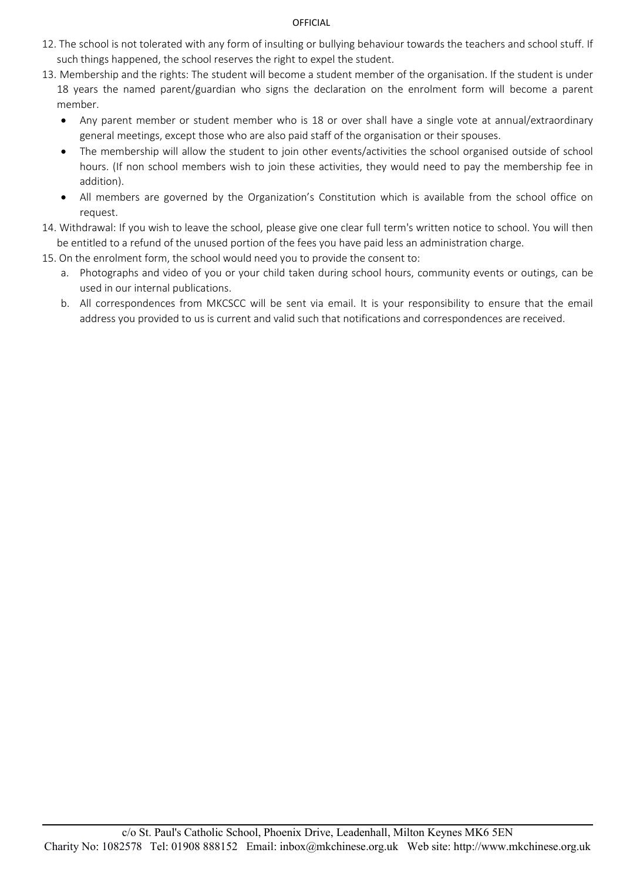- 12. The school is not tolerated with any form of insulting or bullying behaviour towards the teachers and school stuff. If such things happened, the school reserves the right to expel the student.
- 13. Membership and the rights: The student will become a student member of the organisation. If the student is under 18 years the named parent/guardian who signs the declaration on the enrolment form will become a parent member.
	- Any parent member or student member who is 18 or over shall have a single vote at annual/extraordinary general meetings, except those who are also paid staff of the organisation or their spouses.
	- The membership will allow the student to join other events/activities the school organised outside of school hours. (If non school members wish to join these activities, they would need to pay the membership fee in addition).
	- All members are governed by the Organization's Constitution which is available from the school office on request.
- 14. Withdrawal: If you wish to leave the school, please give one clear full term's written notice to school. You will then be entitled to a refund of the unused portion of the fees you have paid less an administration charge.
- 15. On the enrolment form, the school would need you to provide the consent to:
	- a. Photographs and video of you or your child taken during school hours, community events or outings, can be used in our internal publications.
	- b. All correspondences from MKCSCC will be sent via email. It is your responsibility to ensure that the email address you provided to us is current and valid such that notifications and correspondences are received.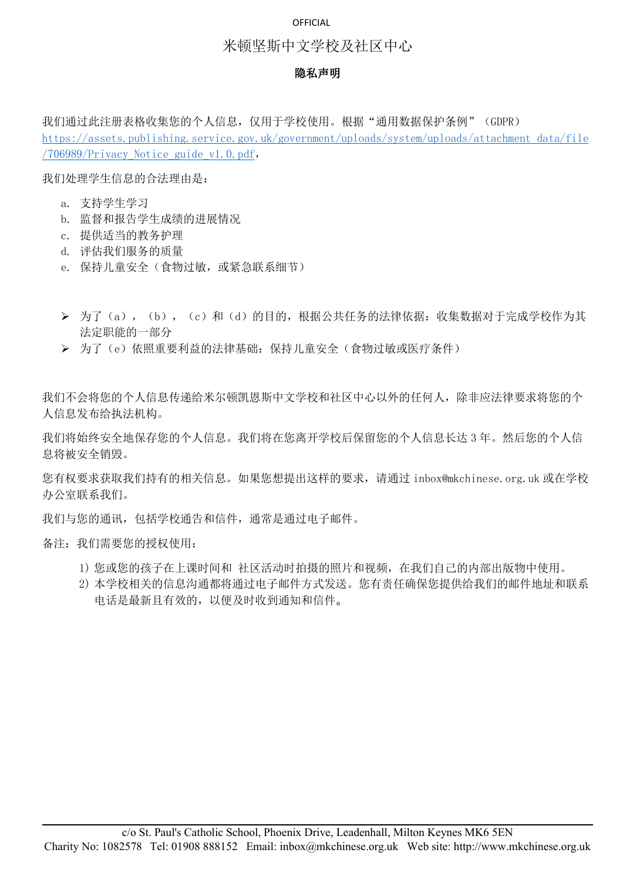### 米顿坚斯中文学校及社区中心

#### 隐私声明

我们通过此注册表格收集您的个人信息,仅用于学校使用。根据"通用数据保护条例"(GDPR) [https://assets.publishing.service.gov.uk/government/uploads/system/uploads/attachment\\_data/file](https://assets.publishing.service.gov.uk/government/uploads/system/uploads/attachment_data/file/706989/Privacy_Notice_guide_v1.0.pdf) /706989/Privacy\_Notice\_guide\_v1.0.pdf,

我们处理学生信息的合法理由是:

- a. 支持学生学习
- b. 监督和报告学生成绩的进展情况
- c. 提供适当的教务护理
- d. 评估我们服务的质量
- e. 保持儿童安全(食物过敏,或紧急联系细节)
- > 为了(a), (b), (c)和(d)的目的,根据公共任务的法律依据:收集数据对于完成学校作为其 法定职能的一部分
- 为了(e)依照重要利益的法律基础:保持儿童安全(食物过敏或医疗条件)

我们不会将您的个人信息传递给米尔顿凯恩斯中文学校和社区中心以外的任何人,除非应法律要求将您的个 人信息发布给执法机构。

我们将始终安全地保存您的个人信息。我们将在您离开学校后保留您的个人信息长达 3 年。然后您的个人信 息将被安全销毁。

您有权要求获取我们持有的相关信息。如果您想提出这样的要求,请通过 inbox@mkchinese.org.uk 或在学校 办公室联系我们。

我们与您的通讯,包括学校通告和信件,通常是通过电子邮件。

备注:我们需要您的授权使用:

- 1) 您或您的孩子在上课时间和 社区活动时拍摄的照片和视频,在我们自己的内部出版物中使用。
- 2) 本学校相关的信息沟通都将通过电子邮件方式发送。您有责任确保您提供给我们的邮件地址和联系 电话是最新且有效的,以便及时收到通知和信件。